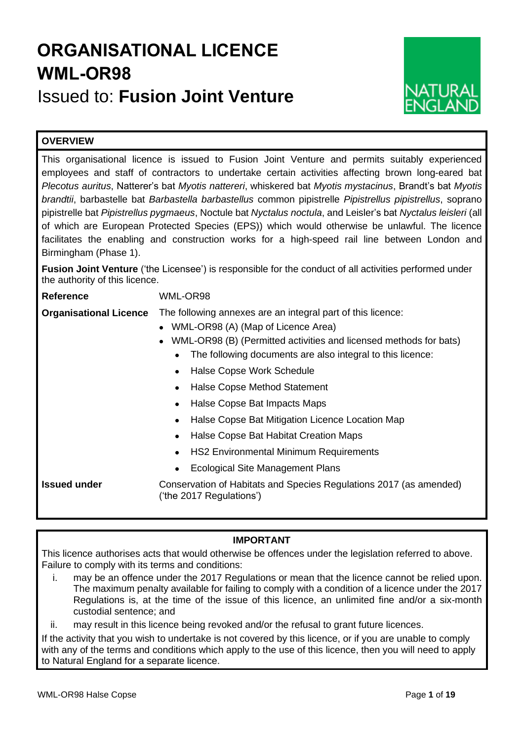# **ORGANISATIONAL LICENCE WML-OR98**

Issued to: **Fusion Joint Venture**



# **OVERVIEW**

This organisational licence is issued to Fusion Joint Venture and permits suitably experienced employees and staff of contractors to undertake certain activities affecting brown long-eared bat *Plecotus auritus*, Natterer's bat *Myotis nattereri*, whiskered bat *Myotis mystacinus*, Brandt's bat *Myotis brandtii*, barbastelle bat *Barbastella barbastellus* common pipistrelle *Pipistrellus pipistrellus*, soprano pipistrelle bat *Pipistrellus pygmaeus*, Noctule bat *Nyctalus noctula*, and Leisler's bat *Nyctalus leisleri* (all of which are European Protected Species (EPS)) which would otherwise be unlawful. The licence facilitates the enabling and construction works for a high-speed rail line between London and Birmingham (Phase 1).

**Fusion Joint Venture** ('the Licensee') is responsible for the conduct of all activities performed under the authority of this licence.

**Reference** WML-OR98

**Organisational Licence** The following annexes are an integral part of this licence:

- WML-OR98 (A) (Map of Licence Area)
- WML-OR98 (B) (Permitted activities and licensed methods for bats)
	- The following documents are also integral to this licence:
	- Halse Copse Work Schedule
	- Halse Copse Method Statement
	- Halse Copse Bat Impacts Maps
	- Halse Copse Bat Mitigation Licence Location Map
	- Halse Copse Bat Habitat Creation Maps
	- HS2 Environmental Minimum Requirements
	- Ecological Site Management Plans

**Issued under Conservation of Habitats and Species Regulations 2017 (as amended)** ('the 2017 Regulations')

# **IMPORTANT**

This licence authorises acts that would otherwise be offences under the legislation referred to above. Failure to comply with its terms and conditions:

i. may be an offence under the 2017 Regulations or mean that the licence cannot be relied upon. The maximum penalty available for failing to comply with a condition of a licence under the 2017 Regulations is, at the time of the issue of this licence, an unlimited fine and/or a six-month custodial sentence; and

ii. may result in this licence being revoked and/or the refusal to grant future licences.

If the activity that you wish to undertake is not covered by this licence, or if you are unable to comply with any of the terms and conditions which apply to the use of this licence, then you will need to apply to Natural England for a separate licence.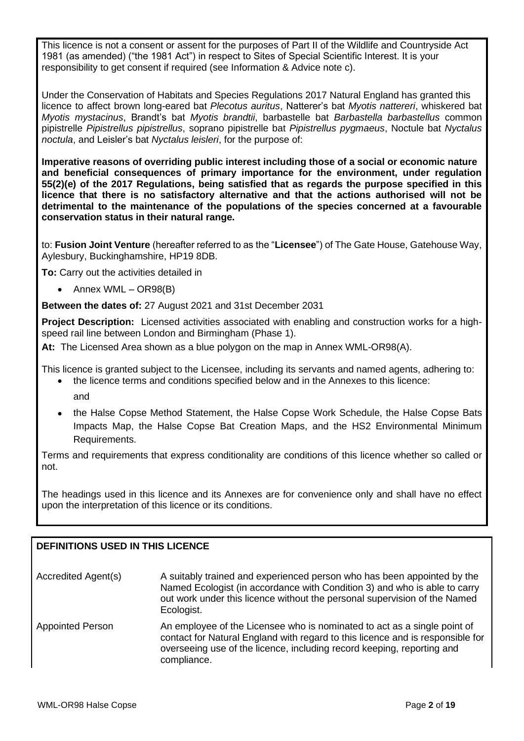This licence is not a consent or assent for the purposes of Part II of the Wildlife and Countryside Act 1981 (as amended) ("the 1981 Act") in respect to Sites of Special Scientific Interest. It is your responsibility to get consent if required (see Information & Advice note c).

Under the Conservation of Habitats and Species Regulations 2017 Natural England has granted this licence to affect brown long-eared bat *Plecotus auritus*, Natterer's bat *Myotis nattereri*, whiskered bat *Myotis mystacinus*, Brandt's bat *Myotis brandtii*, barbastelle bat *Barbastella barbastellus* common pipistrelle *Pipistrellus pipistrellus*, soprano pipistrelle bat *Pipistrellus pygmaeus*, Noctule bat *Nyctalus noctula*, and Leisler's bat *Nyctalus leisleri*, for the purpose of:

**Imperative reasons of overriding public interest including those of a social or economic nature and beneficial consequences of primary importance for the environment, under regulation 55(2)(e) of the 2017 Regulations, being satisfied that as regards the purpose specified in this licence that there is no satisfactory alternative and that the actions authorised will not be detrimental to the maintenance of the populations of the species concerned at a favourable conservation status in their natural range.**

to: **Fusion Joint Venture** (hereafter referred to as the "**Licensee**") of The Gate House, Gatehouse Way, Aylesbury, Buckinghamshire, HP19 8DB.

**To:** Carry out the activities detailed in

• Annex WML – OR98(B)

**Between the dates of:** 27 August 2021 and 31st December 2031

**Project Description:** Licensed activities associated with enabling and construction works for a highspeed rail line between London and Birmingham (Phase 1).

**At:** The Licensed Area shown as a blue polygon on the map in Annex WML-OR98(A).

This licence is granted subject to the Licensee, including its servants and named agents, adhering to: • the licence terms and conditions specified below and in the Annexes to this licence:

- and
- the Halse Copse Method Statement, the Halse Copse Work Schedule, the Halse Copse Bats Impacts Map, the Halse Copse Bat Creation Maps, and the HS2 Environmental Minimum Requirements.

Terms and requirements that express conditionality are conditions of this licence whether so called or not.

The headings used in this licence and its Annexes are for convenience only and shall have no effect upon the interpretation of this licence or its conditions.

# **DEFINITIONS USED IN THIS LICENCE**

| Accredited Agent(s)     | A suitably trained and experienced person who has been appointed by the<br>Named Ecologist (in accordance with Condition 3) and who is able to carry<br>out work under this licence without the personal supervision of the Named<br>Ecologist. |
|-------------------------|-------------------------------------------------------------------------------------------------------------------------------------------------------------------------------------------------------------------------------------------------|
| <b>Appointed Person</b> | An employee of the Licensee who is nominated to act as a single point of<br>contact for Natural England with rogard to this licence and is responsible for                                                                                      |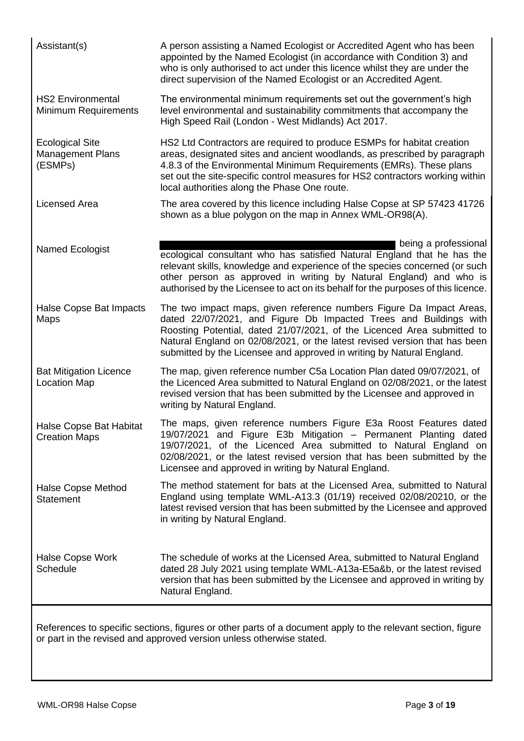| Assistant(s)                                                 | A person assisting a Named Ecologist or Accredited Agent who has been<br>appointed by the Named Ecologist (in accordance with Condition 3) and<br>who is only authorised to act under this licence whilst they are under the<br>direct supervision of the Named Ecologist or an Accredited Agent.                                                                           |
|--------------------------------------------------------------|-----------------------------------------------------------------------------------------------------------------------------------------------------------------------------------------------------------------------------------------------------------------------------------------------------------------------------------------------------------------------------|
| <b>HS2 Environmental</b><br><b>Minimum Requirements</b>      | The environmental minimum requirements set out the government's high<br>level environmental and sustainability commitments that accompany the<br>High Speed Rail (London - West Midlands) Act 2017.                                                                                                                                                                         |
| <b>Ecological Site</b><br><b>Management Plans</b><br>(ESMPs) | HS2 Ltd Contractors are required to produce ESMPs for habitat creation<br>areas, designated sites and ancient woodlands, as prescribed by paragraph<br>4.8.3 of the Environmental Minimum Requirements (EMRs). These plans<br>set out the site-specific control measures for HS2 contractors working within<br>local authorities along the Phase One route.                 |
| <b>Licensed Area</b>                                         | The area covered by this licence including Halse Copse at SP 57423 41726<br>shown as a blue polygon on the map in Annex WML-OR98(A).                                                                                                                                                                                                                                        |
| Named Ecologist                                              | being a professional<br>ecological consultant who has satisfied Natural England that he has the<br>relevant skills, knowledge and experience of the species concerned (or such<br>other person as approved in writing by Natural England) and who is<br>authorised by the Licensee to act on its behalf for the purposes of this licence.                                   |
| Halse Copse Bat Impacts<br>Maps                              | The two impact maps, given reference numbers Figure Da Impact Areas,<br>dated 22/07/2021, and Figure Db Impacted Trees and Buildings with<br>Roosting Potential, dated 21/07/2021, of the Licenced Area submitted to<br>Natural England on 02/08/2021, or the latest revised version that has been<br>submitted by the Licensee and approved in writing by Natural England. |
| <b>Bat Mitigation Licence</b><br><b>Location Map</b>         | The map, given reference number C5a Location Plan dated 09/07/2021, of<br>the Licenced Area submitted to Natural England on 02/08/2021, or the latest<br>revised version that has been submitted by the Licensee and approved in<br>writing by Natural England.                                                                                                             |
| <b>Halse Copse Bat Habitat</b><br><b>Creation Maps</b>       | The maps, given reference numbers Figure E3a Roost Features dated<br>19/07/2021 and Figure E3b Mitigation - Permanent Planting dated<br>19/07/2021, of the Licenced Area submitted to Natural England on<br>02/08/2021, or the latest revised version that has been submitted by the<br>Licensee and approved in writing by Natural England.                                |
| <b>Halse Copse Method</b><br><b>Statement</b>                | The method statement for bats at the Licensed Area, submitted to Natural<br>England using template WML-A13.3 (01/19) received 02/08/20210, or the<br>latest revised version that has been submitted by the Licensee and approved<br>in writing by Natural England.                                                                                                          |
| Halse Copse Work<br>Schedule                                 | The schedule of works at the Licensed Area, submitted to Natural England<br>dated 28 July 2021 using template WML-A13a-E5a&b, or the latest revised<br>version that has been submitted by the Licensee and approved in writing by<br>Natural England.                                                                                                                       |
|                                                              | References to specific sections, figures or other parts of a document apply to the relevant section, figure<br>or part in the revised and approved version unless otherwise stated.                                                                                                                                                                                         |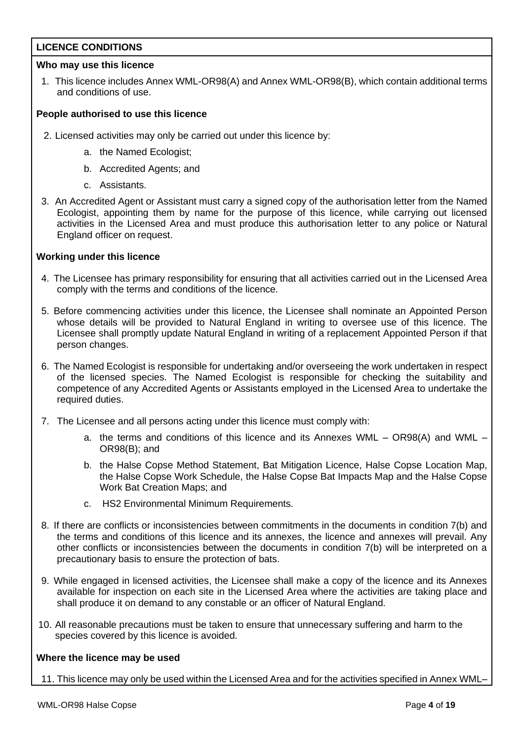# **LICENCE CONDITIONS**

## **Who may use this licence**

1. This licence includes Annex WML-OR98(A) and Annex WML-OR98(B), which contain additional terms and conditions of use.

## **People authorised to use this licence**

- 2. Licensed activities may only be carried out under this licence by:
	- a. the Named Ecologist;
	- b. Accredited Agents; and
	- c. Assistants.
- 3. An Accredited Agent or Assistant must carry a signed copy of the authorisation letter from the Named Ecologist, appointing them by name for the purpose of this licence, while carrying out licensed activities in the Licensed Area and must produce this authorisation letter to any police or Natural England officer on request.

## **Working under this licence**

- 4. The Licensee has primary responsibility for ensuring that all activities carried out in the Licensed Area comply with the terms and conditions of the licence.
- 5. Before commencing activities under this licence, the Licensee shall nominate an Appointed Person whose details will be provided to Natural England in writing to oversee use of this licence. The Licensee shall promptly update Natural England in writing of a replacement Appointed Person if that person changes.
- 6. The Named Ecologist is responsible for undertaking and/or overseeing the work undertaken in respect of the licensed species. The Named Ecologist is responsible for checking the suitability and competence of any Accredited Agents or Assistants employed in the Licensed Area to undertake the required duties.
- 7. The Licensee and all persons acting under this licence must comply with:
	- a. the terms and conditions of this licence and its Annexes WML OR98(A) and WML OR98(B); and
	- b. the Halse Copse Method Statement, Bat Mitigation Licence, Halse Copse Location Map, the Halse Copse Work Schedule, the Halse Copse Bat Impacts Map and the Halse Copse Work Bat Creation Maps; and
	- c. HS2 Environmental Minimum Requirements.
- 8. If there are conflicts or inconsistencies between commitments in the documents in condition 7(b) and the terms and conditions of this licence and its annexes, the licence and annexes will prevail. Any other conflicts or inconsistencies between the documents in condition 7(b) will be interpreted on a precautionary basis to ensure the protection of bats.
- 9. While engaged in licensed activities, the Licensee shall make a copy of the licence and its Annexes available for inspection on each site in the Licensed Area where the activities are taking place and shall produce it on demand to any constable or an officer of Natural England.
- 10. All reasonable precautions must be taken to ensure that unnecessary suffering and harm to the species covered by this licence is avoided.

## **Where the licence may be used**

11. This licence may only be used within the Licensed Area and for the activities specified in Annex WML–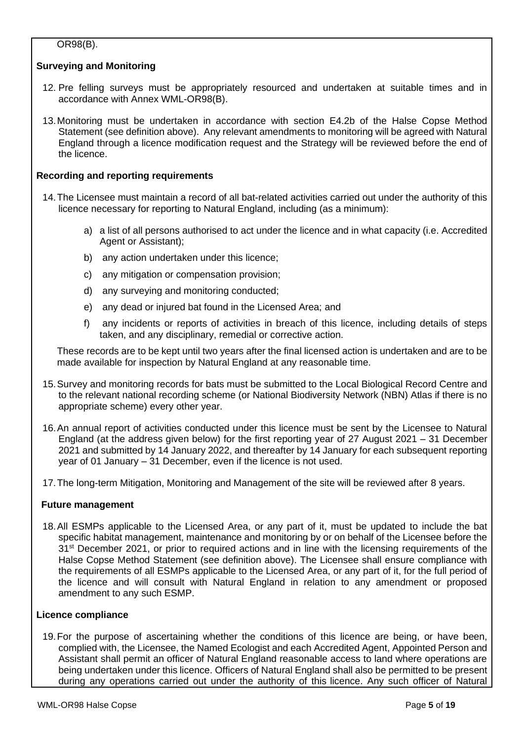# OR98(B).

# **Surveying and Monitoring**

- 12. Pre felling surveys must be appropriately resourced and undertaken at suitable times and in accordance with Annex WML-OR98(B).
- 13.Monitoring must be undertaken in accordance with section E4.2b of the Halse Copse Method Statement (see definition above). Any relevant amendments to monitoring will be agreed with Natural England through a licence modification request and the Strategy will be reviewed before the end of the licence.

## **Recording and reporting requirements**

- 14.The Licensee must maintain a record of all bat-related activities carried out under the authority of this licence necessary for reporting to Natural England, including (as a minimum):
	- a) a list of all persons authorised to act under the licence and in what capacity (i.e. Accredited Agent or Assistant);
	- b) any action undertaken under this licence;
	- c) any mitigation or compensation provision;
	- d) any surveying and monitoring conducted;
	- e) any dead or injured bat found in the Licensed Area; and
	- f) any incidents or reports of activities in breach of this licence, including details of steps taken, and any disciplinary, remedial or corrective action.

These records are to be kept until two years after the final licensed action is undertaken and are to be made available for inspection by Natural England at any reasonable time.

- 15.Survey and monitoring records for bats must be submitted to the Local Biological Record Centre and to the relevant national recording scheme (or National Biodiversity Network (NBN) Atlas if there is no appropriate scheme) every other year.
- 16.An annual report of activities conducted under this licence must be sent by the Licensee to Natural England (at the address given below) for the first reporting year of 27 August 2021 – 31 December 2021 and submitted by 14 January 2022, and thereafter by 14 January for each subsequent reporting year of 01 January – 31 December, even if the licence is not used.
- 17.The long-term Mitigation, Monitoring and Management of the site will be reviewed after 8 years.

## **Future management**

18.All ESMPs applicable to the Licensed Area, or any part of it, must be updated to include the bat specific habitat management, maintenance and monitoring by or on behalf of the Licensee before the 31<sup>st</sup> December 2021, or prior to required actions and in line with the licensing requirements of the Halse Copse Method Statement (see definition above). The Licensee shall ensure compliance with the requirements of all ESMPs applicable to the Licensed Area, or any part of it, for the full period of the licence and will consult with Natural England in relation to any amendment or proposed amendment to any such ESMP.

## **Licence compliance**

19.For the purpose of ascertaining whether the conditions of this licence are being, or have been, complied with, the Licensee, the Named Ecologist and each Accredited Agent, Appointed Person and Assistant shall permit an officer of Natural England reasonable access to land where operations are being undertaken under this licence. Officers of Natural England shall also be permitted to be present during any operations carried out under the authority of this licence. Any such officer of Natural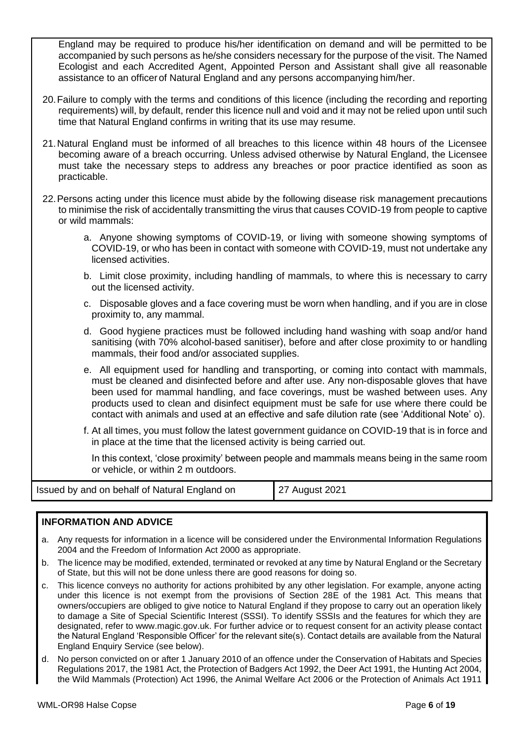England may be required to produce his/her identification on demand and will be permitted to be accompanied by such persons as he/she considers necessary for the purpose of the visit. The Named Ecologist and each Accredited Agent, Appointed Person and Assistant shall give all reasonable assistance to an officerof Natural England and any persons accompanying him/her.

- 20.Failure to comply with the terms and conditions of this licence (including the recording and reporting requirements) will, by default, render this licence null and void and it may not be relied upon until such time that Natural England confirms in writing that its use may resume.
- 21.Natural England must be informed of all breaches to this licence within 48 hours of the Licensee becoming aware of a breach occurring. Unless advised otherwise by Natural England, the Licensee must take the necessary steps to address any breaches or poor practice identified as soon as practicable.
- 22.Persons acting under this licence must abide by the following disease risk management precautions to minimise the risk of accidentally transmitting the virus that causes COVID-19 from people to captive or wild mammals:
	- a. Anyone showing symptoms of COVID-19, or living with someone showing symptoms of COVID-19, or who has been in contact with someone with COVID-19, must not undertake any licensed activities.
	- b. Limit close proximity, including handling of mammals, to where this is necessary to carry out the licensed activity.
	- c. Disposable gloves and a face covering must be worn when handling, and if you are in close proximity to, any mammal.
	- d. Good hygiene practices must be followed including hand washing with soap and/or hand sanitising (with 70% alcohol-based sanitiser), before and after close proximity to or handling mammals, their food and/or associated supplies.
	- e. All equipment used for handling and transporting, or coming into contact with mammals, must be cleaned and disinfected before and after use. Any non-disposable gloves that have been used for mammal handling, and face coverings, must be washed between uses. Any products used to clean and disinfect equipment must be safe for use where there could be contact with animals and used at an effective and safe dilution rate (see 'Additional Note' o).
	- f. At all times, you must follow the latest government guidance on COVID-19 that is in force and in place at the time that the licensed activity is being carried out.

In this context, 'close proximity' between people and mammals means being in the same room or vehicle, or within 2 m outdoors.

| Issued by and on behalf of Natural England on | 27 August 2021 |
|-----------------------------------------------|----------------|
|-----------------------------------------------|----------------|

## **INFORMATION AND ADVICE**

- a. Any requests for information in a licence will be considered under the Environmental Information Regulations 2004 and the Freedom of Information Act 2000 as appropriate.
- b. The licence may be modified, extended, terminated or revoked at any time by Natural England or the Secretary of State, but this will not be done unless there are good reasons for doing so.
- c. This licence conveys no authority for actions prohibited by any other legislation. For example, anyone acting under this licence is not exempt from the provisions of Section 28E of the 1981 Act. This means that owners/occupiers are obliged to give notice to Natural England if they propose to carry out an operation likely to damage a Site of Special Scientific Interest (SSSI). To identify SSSIs and the features for which they are designated, refer to www.magic.gov.uk. For further advice or to request consent for an activity please contact the Natural England 'Responsible Officer' for the relevant site(s). Contact details are available from the Natural England Enquiry Service (see below).
- d. No person convicted on or after 1 January 2010 of an offence under the Conservation of Habitats and Species Regulations 2017, the 1981 Act, the Protection of Badgers Act 1992, the Deer Act 1991, the Hunting Act 2004, the Wild Mammals (Protection) Act 1996, the Animal Welfare Act 2006 or the Protection of Animals Act 1911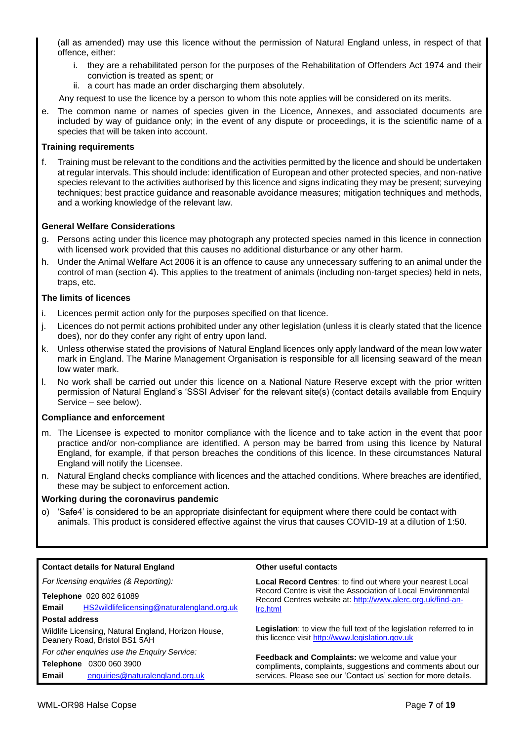(all as amended) may use this licence without the permission of Natural England unless, in respect of that offence, either:

- i. they are a rehabilitated person for the purposes of the Rehabilitation of Offenders Act 1974 and their conviction is treated as spent; or
- ii. a court has made an order discharging them absolutely.

Any request to use the licence by a person to whom this note applies will be considered on its merits.

e. The common name or names of species given in the Licence, Annexes, and associated documents are included by way of guidance only; in the event of any dispute or proceedings, it is the scientific name of a species that will be taken into account.

## **Training requirements**

f. Training must be relevant to the conditions and the activities permitted by the licence and should be undertaken at regular intervals. This should include: identification of European and other protected species, and non-native species relevant to the activities authorised by this licence and signs indicating they may be present; surveying techniques; best practice guidance and reasonable avoidance measures; mitigation techniques and methods, and a working knowledge of the relevant law.

## **General Welfare Considerations**

- g. Persons acting under this licence may photograph any protected species named in this licence in connection with licensed work provided that this causes no additional disturbance or any other harm.
- h. Under the Animal Welfare Act 2006 it is an offence to cause any unnecessary suffering to an animal under the control of man (section 4). This applies to the treatment of animals (including non-target species) held in nets, traps, etc.

### **The limits of licences**

- i. Licences permit action only for the purposes specified on that licence.
- j. Licences do not permit actions prohibited under any other legislation (unless it is clearly stated that the licence does), nor do they confer any right of entry upon land.
- k. Unless otherwise stated the provisions of Natural England licences only apply landward of the mean low water mark in England. The Marine Management Organisation is responsible for all licensing seaward of the mean low water mark.
- l. No work shall be carried out under this licence on a National Nature Reserve except with the prior written permission of Natural England's 'SSSI Adviser' for the relevant site(s) (contact details available from Enquiry Service – see below).

### **Compliance and enforcement**

- m. The Licensee is expected to monitor compliance with the licence and to take action in the event that poor practice and/or non-compliance are identified. A person may be barred from using this licence by Natural England, for example, if that person breaches the conditions of this licence. In these circumstances Natural England will notify the Licensee.
- n. Natural England checks compliance with licences and the attached conditions. Where breaches are identified, these may be subject to enforcement action.

### **Working during the coronavirus pandemic**

o) 'Safe4' is considered to be an appropriate disinfectant for equipment where there could be contact with animals. This product is considered effective against the virus that causes COVID-19 at a dilution of 1:50.

#### **Contact details for Natural England Other useful contacts** *For licensing enquiries (& Reporting):* **Telephone** 020 802 61089 **Email** HS2wildlifelicensing@naturalengland.org.uk **Postal address** Wildlife Licensing, Natural England, Horizon House, Deanery Road, Bristol BS1 5AH *For other enquiries use the Enquiry Service:* **Local Record Centres**: to find out where your nearest Local Record Centre is visit the Association of Local Environmental Record Centres website at: http://www.alerc.org.uk/find-anlrc.html **Legislation**: to view the full text of the legislation referred to in this licence visit http://www.legislation.gov.uk

**Feedback and Complaints:** we welcome and value your compliments, complaints, suggestions and comments about our services. Please see our 'Contact us' section for more details.

**Telephone** 0300 060 3900

**Email** enquiries@naturalengland.org.uk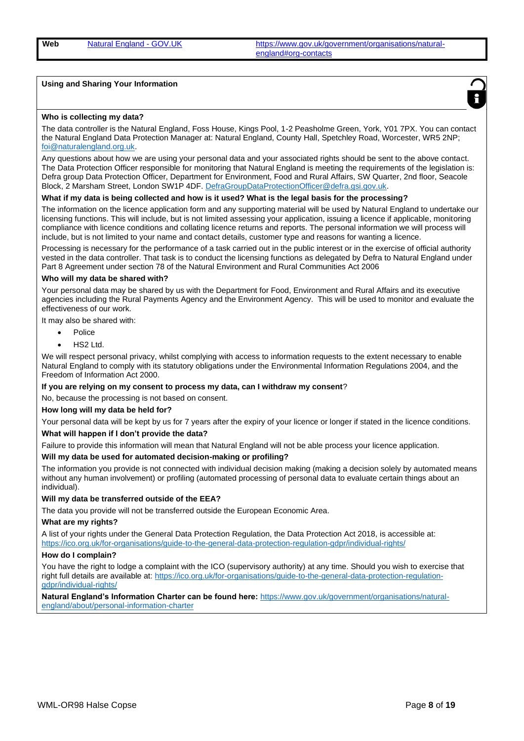#### **Using and Sharing Your Information**



#### **Who is collecting my data?**

The data controller is the Natural England, Foss House, Kings Pool, 1-2 Peasholme Green, York, Y01 7PX. You can contact the Natural England Data Protection Manager at: Natural England, County Hall, Spetchley Road, Worcester, WR5 2NP; foi@naturalengland.org.uk.

Any questions about how we are using your personal data and your associated rights should be sent to the above contact. The Data Protection Officer responsible for monitoring that Natural England is meeting the requirements of the legislation is: Defra group Data Protection Officer, Department for Environment, Food and Rural Affairs, SW Quarter, 2nd floor, Seacole Block, 2 Marsham Street, London SW1P 4DF. DefraGroupDataProtectionOfficer@defra.gsi.gov.uk.

## **What if my data is being collected and how is it used? What is the legal basis for the processing?**

The information on the licence application form and any supporting material will be used by Natural England to undertake our licensing functions. This will include, but is not limited assessing your application, issuing a licence if applicable, monitoring compliance with licence conditions and collating licence returns and reports. The personal information we will process will include, but is not limited to your name and contact details, customer type and reasons for wanting a licence.

Processing is necessary for the performance of a task carried out in the public interest or in the exercise of official authority vested in the data controller. That task is to conduct the licensing functions as delegated by Defra to Natural England under Part 8 Agreement under section 78 of the Natural Environment and Rural Communities Act 2006

#### **Who will my data be shared with?**

Your personal data may be shared by us with the Department for Food, Environment and Rural Affairs and its executive agencies including the Rural Payments Agency and the Environment Agency. This will be used to monitor and evaluate the effectiveness of our work.

It may also be shared with:

- Police
- HS2 Ltd.

We will respect personal privacy, whilst complying with access to information requests to the extent necessary to enable Natural England to comply with its statutory obligations under the Environmental Information Regulations 2004, and the Freedom of Information Act 2000.

**If you are relying on my consent to process my data, can I withdraw my consent**?

No, because the processing is not based on consent.

#### **How long will my data be held for?**

Your personal data will be kept by us for 7 years after the expiry of your licence or longer if stated in the licence conditions. **What will happen if I don't provide the data?**

Failure to provide this information will mean that Natural England will not be able process your licence application.

#### **Will my data be used for automated decision-making or profiling?**

The information you provide is not connected with individual decision making (making a decision solely by automated means without any human involvement) or profiling (automated processing of personal data to evaluate certain things about an individual).

#### **Will my data be transferred outside of the EEA?**

The data you provide will not be transferred outside the European Economic Area.

#### **What are my rights?**

A list of your rights under the General Data Protection Regulation, the Data Protection Act 2018, is accessible at: https://ico.org.uk/for-organisations/guide-to-the-general-data-protection-regulation-gdpr/individual-rights/

#### **How do I complain?**

You have the right to lodge a complaint with the ICO (supervisory authority) at any time. Should you wish to exercise that right full details are available at: https://ico.org.uk/for-organisations/guide-to-the-general-data-protection-regulationgdpr/individual-rights/

**Natural England's Information Charter can be found here:** https://www.gov.uk/government/organisations/naturalengland/about/personal-information-charter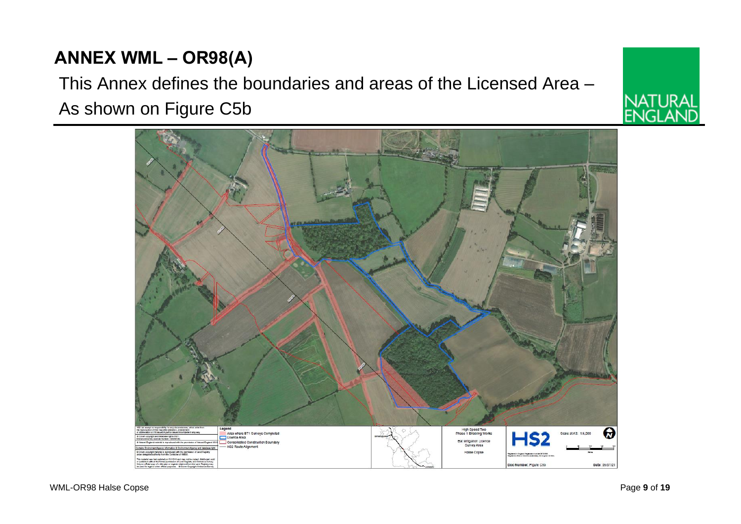# **ANNEX WML – OR98(A)**

# This Annex defines the boundaries and areas of the Licensed Area – As shown on Figure C5b



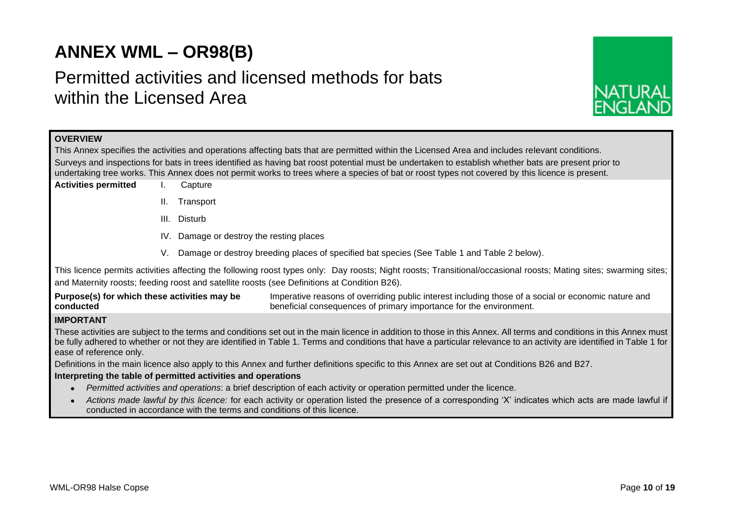# **ANNEX WML – OR98(B)**

# Permitted activities and licensed methods for bats within the Licensed Area



## **OVERVIEW**

This Annex specifies the activities and operations affecting bats that are permitted within the Licensed Area and includes relevant conditions. Surveys and inspections for bats in trees identified as having bat roost potential must be undertaken to establish whether bats are present prior to undertaking tree works. This Annex does not permit works to trees where a species of bat or roost types not covered by this licence is present.

- **Activities permitted** I. Capture
	- II. Transport
	- III. Disturb
	- IV. Damage or destroy the resting places
	- V. Damage or destroy breeding places of specified bat species (See Table 1 and Table 2 below).

This licence permits activities affecting the following roost types only: Day roosts; Night roosts; Transitional/occasional roosts; Mating sites; swarming sites; and Maternity roosts; feeding roost and satellite roosts (see Definitions at Condition B26).

**Purpose(s) for which these activities may be conducted** Imperative reasons of overriding public interest including those of a social or economic nature and beneficial consequences of primary importance for the environment.

## **IMPORTANT**

These activities are subject to the terms and conditions set out in the main licence in addition to those in this Annex. All terms and conditions in this Annex must be fully adhered to whether or not they are identified in Table 1. Terms and conditions that have a particular relevance to an activity are identified in Table 1 for ease of reference only.

Definitions in the main licence also apply to this Annex and further definitions specific to this Annex are set out at Conditions B26 and B27.

### **Interpreting the table of permitted activities and operations**

- *Permitted activities and operations*: a brief description of each activity or operation permitted under the licence.
- *Actions made lawful by this licence:* for each activity or operation listed the presence of a corresponding 'X' indicates which acts are made lawful if conducted in accordance with the terms and conditions of this licence.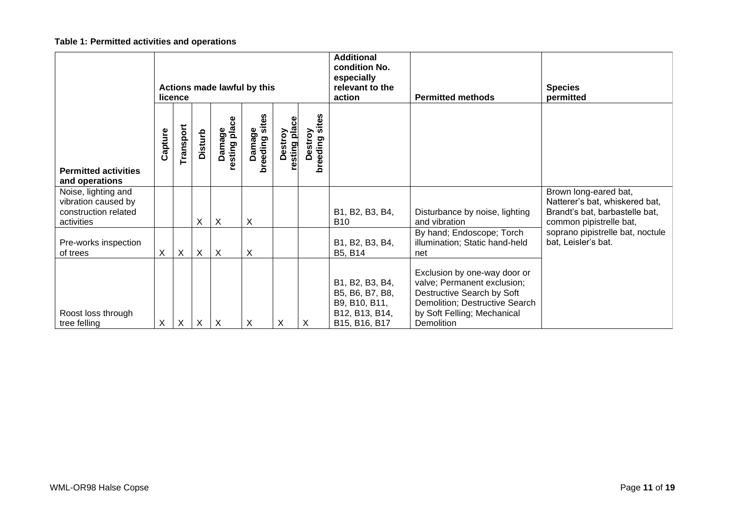# **Table 1: Permitted activities and operations**

|                                                                                  | Actions made lawful by this<br>licence |              |                           |                           |                          |                        |                              | <b>Additional</b><br>condition No.<br>especially<br>relevant to the<br>action          | <b>Permitted methods</b>                                                                                                                                                 | <b>Species</b><br>permitted                                                                                          |
|----------------------------------------------------------------------------------|----------------------------------------|--------------|---------------------------|---------------------------|--------------------------|------------------------|------------------------------|----------------------------------------------------------------------------------------|--------------------------------------------------------------------------------------------------------------------------------------------------------------------------|----------------------------------------------------------------------------------------------------------------------|
| <b>Permitted activities</b><br>and operations                                    | Capture                                | Transport    | <b>Disturb</b>            | Damage<br>resting place   | breeding sites<br>Damage | resting pla<br>Destroy | sites<br>Destroy<br>breeding |                                                                                        |                                                                                                                                                                          |                                                                                                                      |
| Noise, lighting and<br>vibration caused by<br>construction related<br>activities |                                        |              | X                         | X                         | X                        |                        |                              | B1, B2, B3, B4,<br>B10                                                                 | Disturbance by noise, lighting<br>and vibration                                                                                                                          | Brown long-eared bat,<br>Natterer's bat, whiskered bat,<br>Brandt's bat, barbastelle bat,<br>common pipistrelle bat, |
| Pre-works inspection<br>of trees                                                 | X.                                     | $\mathsf{X}$ | $\boldsymbol{\mathsf{X}}$ | X                         | X                        |                        |                              | B1, B2, B3, B4,<br>B5, B14                                                             | By hand; Endoscope; Torch<br>illumination; Static hand-held<br>net                                                                                                       | soprano pipistrelle bat, noctule<br>bat, Leisler's bat.                                                              |
| Roost loss through<br>tree felling                                               | Χ                                      | X            | $\boldsymbol{\mathsf{X}}$ | $\boldsymbol{\mathsf{X}}$ | X                        | X                      | X                            | B1, B2, B3, B4,<br>B5, B6, B7, B8,<br>B9, B10, B11,<br>B12, B13, B14,<br>B15, B16, B17 | Exclusion by one-way door or<br>valve; Permanent exclusion;<br>Destructive Search by Soft<br>Demolition; Destructive Search<br>by Soft Felling; Mechanical<br>Demolition |                                                                                                                      |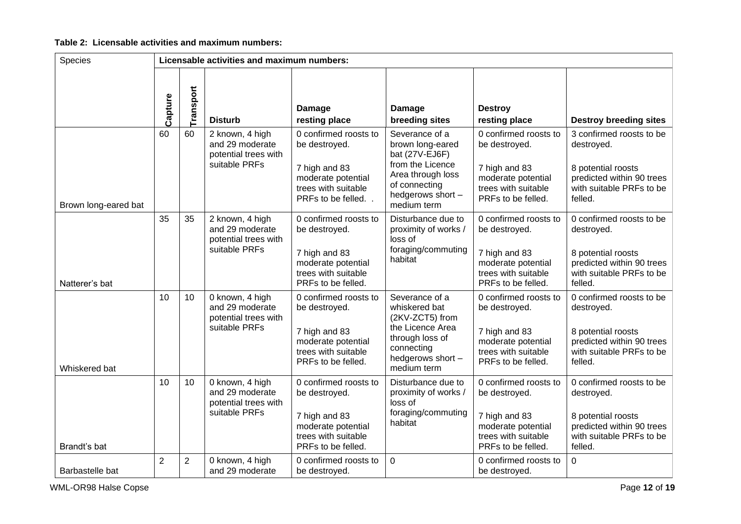# **Table 2: Licensable activities and maximum numbers:**

| Species              | Licensable activities and maximum numbers: |                |                                                                             |                                                                                                                            |                                                                                                                                                    |                                                                                                                            |                                                                                                                                  |
|----------------------|--------------------------------------------|----------------|-----------------------------------------------------------------------------|----------------------------------------------------------------------------------------------------------------------------|----------------------------------------------------------------------------------------------------------------------------------------------------|----------------------------------------------------------------------------------------------------------------------------|----------------------------------------------------------------------------------------------------------------------------------|
|                      | Capture                                    | Transport      | <b>Disturb</b>                                                              | <b>Damage</b><br>resting place                                                                                             | <b>Damage</b><br>breeding sites                                                                                                                    | <b>Destroy</b><br>resting place                                                                                            | <b>Destroy breeding sites</b>                                                                                                    |
| Brown long-eared bat | 60                                         | 60             | 2 known, 4 high<br>and 29 moderate<br>potential trees with<br>suitable PRFs | 0 confirmed roosts to<br>be destroyed.<br>7 high and 83<br>moderate potential<br>trees with suitable<br>PRFs to be felled  | Severance of a<br>brown long-eared<br>bat (27V-EJ6F)<br>from the Licence<br>Area through loss<br>of connecting<br>hedgerows short -<br>medium term | 0 confirmed roosts to<br>be destroyed.<br>7 high and 83<br>moderate potential<br>trees with suitable<br>PRFs to be felled. | 3 confirmed roosts to be<br>destroyed.<br>8 potential roosts<br>predicted within 90 trees<br>with suitable PRFs to be<br>felled. |
| Natterer's bat       | 35                                         | 35             | 2 known, 4 high<br>and 29 moderate<br>potential trees with<br>suitable PRFs | 0 confirmed roosts to<br>be destroyed.<br>7 high and 83<br>moderate potential<br>trees with suitable<br>PRFs to be felled. | Disturbance due to<br>proximity of works /<br>loss of<br>foraging/commuting<br>habitat                                                             | 0 confirmed roosts to<br>be destroyed.<br>7 high and 83<br>moderate potential<br>trees with suitable<br>PRFs to be felled. | 0 confirmed roosts to be<br>destroyed.<br>8 potential roosts<br>predicted within 90 trees<br>with suitable PRFs to be<br>felled. |
| Whiskered bat        | 10                                         | 10             | 0 known, 4 high<br>and 29 moderate<br>potential trees with<br>suitable PRFs | 0 confirmed roosts to<br>be destroyed.<br>7 high and 83<br>moderate potential<br>trees with suitable<br>PRFs to be felled. | Severance of a<br>whiskered bat<br>(2KV-ZCT5) from<br>the Licence Area<br>through loss of<br>connecting<br>hedgerows short -<br>medium term        | 0 confirmed roosts to<br>be destroyed.<br>7 high and 83<br>moderate potential<br>trees with suitable<br>PRFs to be felled. | 0 confirmed roosts to be<br>destroyed.<br>8 potential roosts<br>predicted within 90 trees<br>with suitable PRFs to be<br>felled. |
| Brandt's bat         | 10                                         | 10             | 0 known, 4 high<br>and 29 moderate<br>potential trees with<br>suitable PRFs | 0 confirmed roosts to<br>be destroyed.<br>7 high and 83<br>moderate potential<br>trees with suitable<br>PRFs to be felled. | Disturbance due to<br>proximity of works /<br>loss of<br>foraging/commuting<br>habitat                                                             | 0 confirmed roosts to<br>be destroyed.<br>7 high and 83<br>moderate potential<br>trees with suitable<br>PRFs to be felled. | 0 confirmed roosts to be<br>destroyed.<br>8 potential roosts<br>predicted within 90 trees<br>with suitable PRFs to be<br>felled. |
| Barbastelle bat      | $\overline{2}$                             | $\overline{c}$ | 0 known, 4 high<br>and 29 moderate                                          | 0 confirmed roosts to<br>be destroyed.                                                                                     | $\overline{0}$                                                                                                                                     | 0 confirmed roosts to<br>be destroyed.                                                                                     | $\mathbf 0$                                                                                                                      |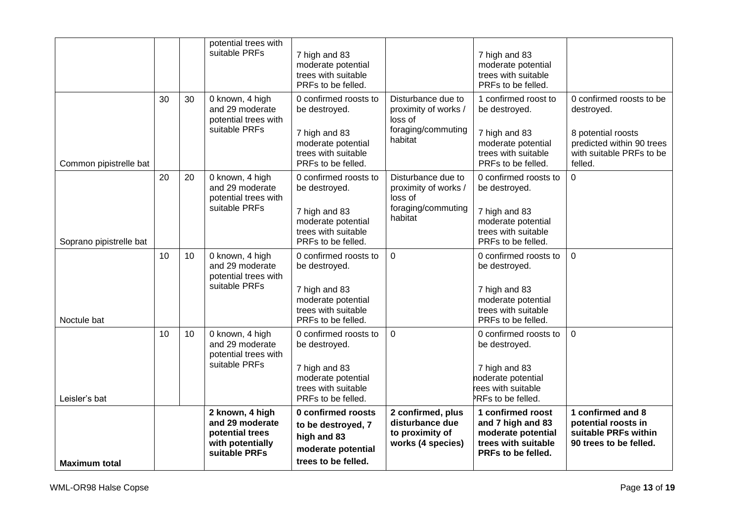|                         |    |    | potential trees with<br>suitable PRFs                                                      | 7 high and 83<br>moderate potential<br>trees with suitable<br>PRFs to be felled.                                           |                                                                                        | 7 high and 83<br>moderate potential<br>trees with suitable<br>PRFs to be felled.                                           |                                                                                                                                  |
|-------------------------|----|----|--------------------------------------------------------------------------------------------|----------------------------------------------------------------------------------------------------------------------------|----------------------------------------------------------------------------------------|----------------------------------------------------------------------------------------------------------------------------|----------------------------------------------------------------------------------------------------------------------------------|
| Common pipistrelle bat  | 30 | 30 | 0 known, 4 high<br>and 29 moderate<br>potential trees with<br>suitable PRFs                | 0 confirmed roosts to<br>be destroyed.<br>7 high and 83<br>moderate potential<br>trees with suitable<br>PRFs to be felled. | Disturbance due to<br>proximity of works /<br>loss of<br>foraging/commuting<br>habitat | 1 confirmed roost to<br>be destroyed.<br>7 high and 83<br>moderate potential<br>trees with suitable<br>PRFs to be felled.  | 0 confirmed roosts to be<br>destroyed.<br>8 potential roosts<br>predicted within 90 trees<br>with suitable PRFs to be<br>felled. |
| Soprano pipistrelle bat | 20 | 20 | 0 known, 4 high<br>and 29 moderate<br>potential trees with<br>suitable PRFs                | 0 confirmed roosts to<br>be destroyed.<br>7 high and 83<br>moderate potential<br>trees with suitable<br>PRFs to be felled. | Disturbance due to<br>proximity of works /<br>loss of<br>foraging/commuting<br>habitat | 0 confirmed roosts to<br>be destroyed.<br>7 high and 83<br>moderate potential<br>trees with suitable<br>PRFs to be felled. | $\overline{0}$                                                                                                                   |
| Noctule bat             | 10 | 10 | 0 known, 4 high<br>and 29 moderate<br>potential trees with<br>suitable PRFs                | 0 confirmed roosts to<br>be destroyed.<br>7 high and 83<br>moderate potential<br>trees with suitable<br>PRFs to be felled. | $\overline{0}$                                                                         | 0 confirmed roosts to<br>be destroyed.<br>7 high and 83<br>moderate potential<br>trees with suitable<br>PRFs to be felled. | $\mathbf 0$                                                                                                                      |
| Leisler's bat           | 10 | 10 | 0 known, 4 high<br>and 29 moderate<br>potential trees with<br>suitable PRFs                | 0 confirmed roosts to<br>be destroyed.<br>7 high and 83<br>moderate potential<br>trees with suitable<br>PRFs to be felled. | $\overline{0}$                                                                         | 0 confirmed roosts to<br>be destroyed.<br>7 high and 83<br>noderate potential<br>rees with suitable<br>PRFs to be felled.  | $\mathbf 0$                                                                                                                      |
| <b>Maximum total</b>    |    |    | 2 known, 4 high<br>and 29 moderate<br>potential trees<br>with potentially<br>suitable PRFs | 0 confirmed roosts<br>to be destroyed, 7<br>high and 83<br>moderate potential<br>trees to be felled.                       | 2 confirmed, plus<br>disturbance due<br>to proximity of<br>works (4 species)           | 1 confirmed roost<br>and 7 high and 83<br>moderate potential<br>trees with suitable<br>PRFs to be felled.                  | 1 confirmed and 8<br>potential roosts in<br>suitable PRFs within<br>90 trees to be felled.                                       |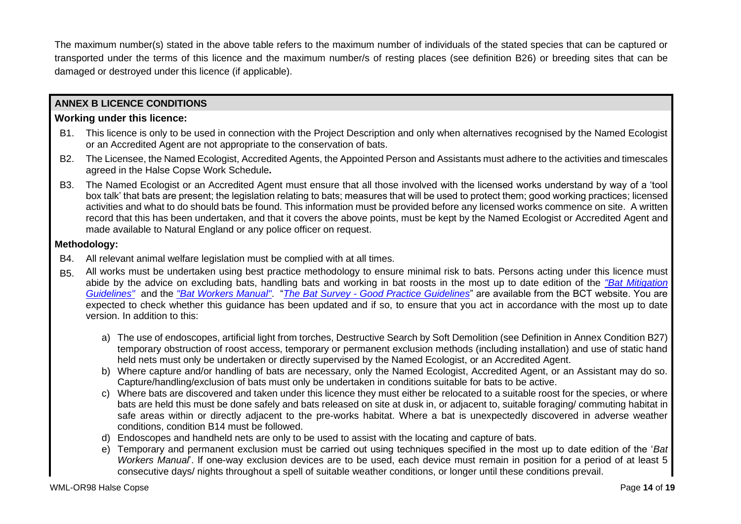The maximum number(s) stated in the above table refers to the maximum number of individuals of the stated species that can be captured or transported under the terms of this licence and the maximum number/s of resting places (see definition B26) or breeding sites that can be damaged or destroyed under this licence (if applicable).

# **ANNEX B LICENCE CONDITIONS**

## **Working under this licence:**

- B1. This licence is only to be used in connection with the Project Description and only when alternatives recognised by the Named Ecologist or an Accredited Agent are not appropriate to the conservation of bats.
- B2. The Licensee, the Named Ecologist, Accredited Agents, the Appointed Person and Assistants must adhere to the activities and timescales agreed in the Halse Copse Work Schedule**.**
- B3. The Named Ecologist or an Accredited Agent must ensure that all those involved with the licensed works understand by way of a 'tool box talk' that bats are present; the legislation relating to bats; measures that will be used to protect them; good working practices; licensed activities and what to do should bats be found. This information must be provided before any licensed works commence on site. A written record that this has been undertaken, and that it covers the above points, must be kept by the Named Ecologist or Accredited Agent and made available to Natural England or any police officer on request.

## **Methodology:**

- B4. All relevant animal welfare legislation must be complied with at all times.
- B5. All works must be undertaken using best practice methodology to ensure minimal risk to bats. Persons acting under this licence must abide by the advice on excluding bats, handling bats and working in bat roosts in the most up to date edition of the *"Bat Mitigation Guidelines"* and the *"Bat Workers Manual"*. "*The Bat Survey - Good Practice Guidelines*" are available from the BCT website. You are expected to check whether this guidance has been updated and if so, to ensure that you act in accordance with the most up to date version. In addition to this:
	- a) The use of endoscopes, artificial light from torches, Destructive Search by Soft Demolition (see Definition in Annex Condition B27) temporary obstruction of roost access, temporary or permanent exclusion methods (including installation) and use of static hand held nets must only be undertaken or directly supervised by the Named Ecologist, or an Accredited Agent.
	- b) Where capture and/or handling of bats are necessary, only the Named Ecologist, Accredited Agent, or an Assistant may do so. Capture/handling/exclusion of bats must only be undertaken in conditions suitable for bats to be active.
	- c) Where bats are discovered and taken under this licence they must either be relocated to a suitable roost for the species, or where bats are held this must be done safely and bats released on site at dusk in, or adjacent to, suitable foraging/ commuting habitat in safe areas within or directly adjacent to the pre-works habitat. Where a bat is unexpectedly discovered in adverse weather conditions, condition B14 must be followed.
	- d) Endoscopes and handheld nets are only to be used to assist with the locating and capture of bats.
	- e) Temporary and permanent exclusion must be carried out using techniques specified in the most up to date edition of the '*Bat Workers Manual*'. If one-way exclusion devices are to be used, each device must remain in position for a period of at least 5 consecutive days/ nights throughout a spell of suitable weather conditions, or longer until these conditions prevail.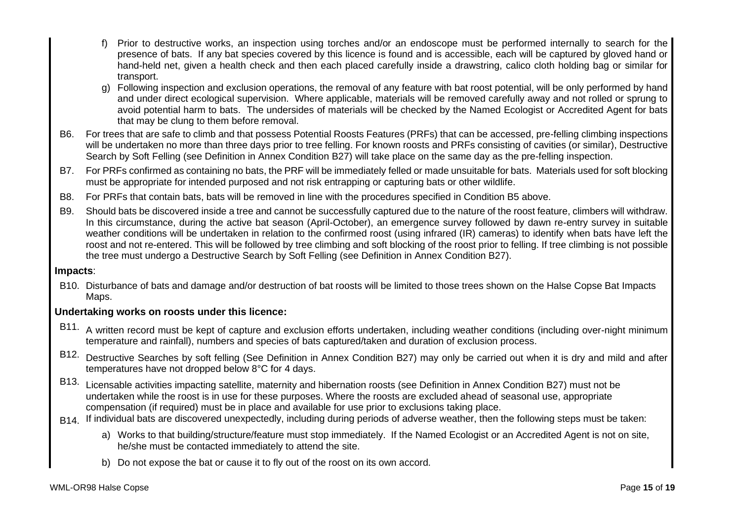- f) Prior to destructive works, an inspection using torches and/or an endoscope must be performed internally to search for the presence of bats. If any bat species covered by this licence is found and is accessible, each will be captured by gloved hand or hand-held net, given a health check and then each placed carefully inside a drawstring, calico cloth holding bag or similar for transport.
- g) Following inspection and exclusion operations, the removal of any feature with bat roost potential, will be only performed by hand and under direct ecological supervision. Where applicable, materials will be removed carefully away and not rolled or sprung to avoid potential harm to bats. The undersides of materials will be checked by the Named Ecologist or Accredited Agent for bats that may be clung to them before removal.
- B6. For trees that are safe to climb and that possess Potential Roosts Features (PRFs) that can be accessed, pre-felling climbing inspections will be undertaken no more than three days prior to tree felling. For known roosts and PRFs consisting of cavities (or similar), Destructive Search by Soft Felling (see Definition in Annex Condition B27) will take place on the same day as the pre-felling inspection.
- B7. For PRFs confirmed as containing no bats, the PRF will be immediately felled or made unsuitable for bats. Materials used for soft blocking must be appropriate for intended purposed and not risk entrapping or capturing bats or other wildlife.
- B8. For PRFs that contain bats, bats will be removed in line with the procedures specified in Condition B5 above.
- B9. Should bats be discovered inside a tree and cannot be successfully captured due to the nature of the roost feature, climbers will withdraw. In this circumstance, during the active bat season (April-October), an emergence survey followed by dawn re-entry survey in suitable weather conditions will be undertaken in relation to the confirmed roost (using infrared (IR) cameras) to identify when bats have left the roost and not re-entered. This will be followed by tree climbing and soft blocking of the roost prior to felling. If tree climbing is not possible the tree must undergo a Destructive Search by Soft Felling (see Definition in Annex Condition B27).

## **Impacts**:

B10. Disturbance of bats and damage and/or destruction of bat roosts will be limited to those trees shown on the Halse Copse Bat Impacts Maps.

## **Undertaking works on roosts under this licence:**

- B11. A written record must be kept of capture and exclusion efforts undertaken, including weather conditions (including over-night minimum temperature and rainfall), numbers and species of bats captured/taken and duration of exclusion process.
- B12. Destructive Searches by soft felling (See Definition in Annex Condition B27) may only be carried out when it is dry and mild and after temperatures have not dropped below 8°C for 4 days.
- B13. Licensable activities impacting satellite, maternity and hibernation roosts (see Definition in Annex Condition B27) must not be undertaken while the roost is in use for these purposes. Where the roosts are excluded ahead of seasonal use, appropriate compensation (if required) must be in place and available for use prior to exclusions taking place.
- B14. If individual bats are discovered unexpectedly, including during periods of adverse weather, then the following steps must be taken:
	- a) Works to that building/structure/feature must stop immediately. If the Named Ecologist or an Accredited Agent is not on site, he/she must be contacted immediately to attend the site.
	- b) Do not expose the bat or cause it to fly out of the roost on its own accord.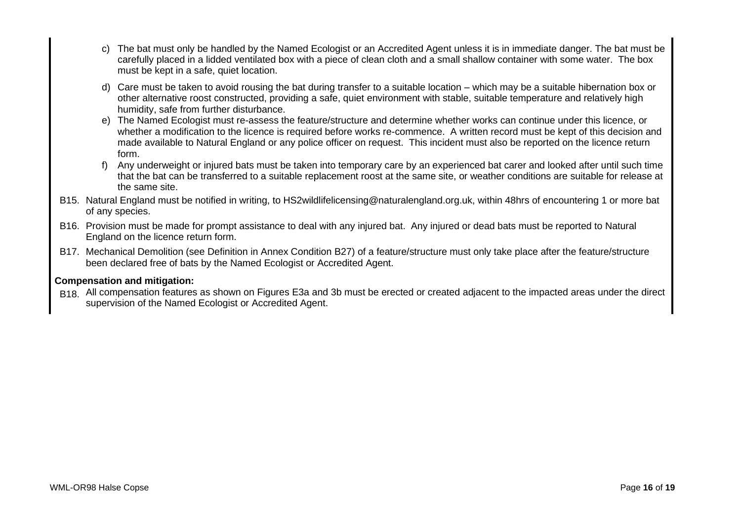- c) The bat must only be handled by the Named Ecologist or an Accredited Agent unless it is in immediate danger. The bat must be carefully placed in a lidded ventilated box with a piece of clean cloth and a small shallow container with some water. The box must be kept in a safe, quiet location.
- d) Care must be taken to avoid rousing the bat during transfer to a suitable location which may be a suitable hibernation box or other alternative roost constructed, providing a safe, quiet environment with stable, suitable temperature and relatively high humidity, safe from further disturbance.
- e) The Named Ecologist must re-assess the feature/structure and determine whether works can continue under this licence, or whether a modification to the licence is required before works re-commence. A written record must be kept of this decision and made available to Natural England or any police officer on request. This incident must also be reported on the licence return form.
- f) Any underweight or injured bats must be taken into temporary care by an experienced bat carer and looked after until such time that the bat can be transferred to a suitable replacement roost at the same site, or weather conditions are suitable for release at the same site.
- B15. Natural England must be notified in writing, to HS2wildlifelicensing@naturalengland.org.uk, within 48hrs of encountering 1 or more bat of any species.
- B16. Provision must be made for prompt assistance to deal with any injured bat. Any injured or dead bats must be reported to Natural England on the licence return form.
- B17. Mechanical Demolition (see Definition in Annex Condition B27) of a feature/structure must only take place after the feature/structure been declared free of bats by the Named Ecologist or Accredited Agent.

## **Compensation and mitigation:**

B18. All compensation features as shown on Figures E3a and 3b must be erected or created adjacent to the impacted areas under the direct supervision of the Named Ecologist or Accredited Agent.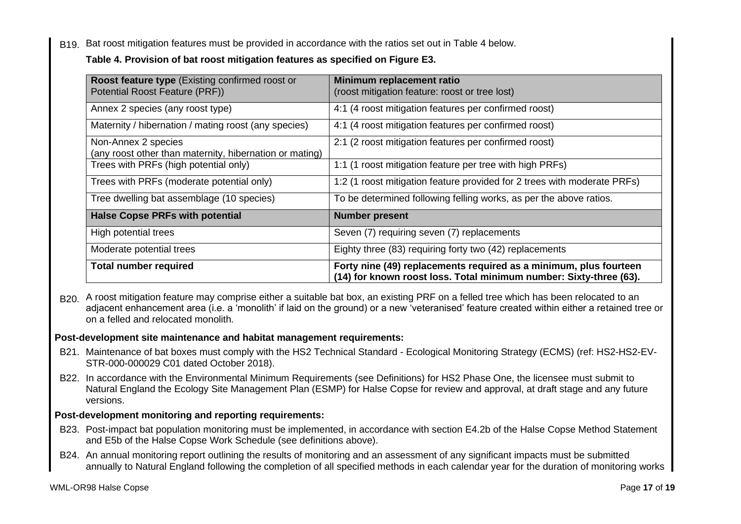B19. Bat roost mitigation features must be provided in accordance with the ratios set out in Table 4 below.

# **Table 4. Provision of bat roost mitigation features as specified on Figure E3.**

| <b>Roost feature type</b> (Existing confirmed roost or<br>Potential Roost Feature (PRF)) | Minimum replacement ratio<br>(roost mitigation feature: roost or tree lost)                                                             |
|------------------------------------------------------------------------------------------|-----------------------------------------------------------------------------------------------------------------------------------------|
| Annex 2 species (any roost type)                                                         | 4:1 (4 roost mitigation features per confirmed roost)                                                                                   |
| Maternity / hibernation / mating roost (any species)                                     | 4:1 (4 roost mitigation features per confirmed roost)                                                                                   |
| Non-Annex 2 species<br>(any roost other than maternity, hibernation or mating)           | 2:1 (2 roost mitigation features per confirmed roost)                                                                                   |
| Trees with PRFs (high potential only)                                                    | 1:1 (1 roost mitigation feature per tree with high PRFs)                                                                                |
| Trees with PRFs (moderate potential only)                                                | 1:2 (1 roost mitigation feature provided for 2 trees with moderate PRFs)                                                                |
| Tree dwelling bat assemblage (10 species)                                                | To be determined following felling works, as per the above ratios.                                                                      |
| <b>Halse Copse PRFs with potential</b>                                                   | <b>Number present</b>                                                                                                                   |
| High potential trees                                                                     | Seven (7) requiring seven (7) replacements                                                                                              |
| Moderate potential trees                                                                 | Eighty three (83) requiring forty two (42) replacements                                                                                 |
| <b>Total number required</b>                                                             | Forty nine (49) replacements required as a minimum, plus fourteen<br>(14) for known roost loss. Total minimum number: Sixty-three (63). |

B20. A roost mitigation feature may comprise either a suitable bat box, an existing PRF on a felled tree which has been relocated to an adjacent enhancement area (i.e. a 'monolith' if laid on the ground) or a new 'veteranised' feature created within either a retained tree or on a felled and relocated monolith.

## **Post-development site maintenance and habitat management requirements:**

- B21. Maintenance of bat boxes must comply with the HS2 Technical Standard Ecological Monitoring Strategy (ECMS) (ref: HS2-HS2-EV-STR-000-000029 C01 dated October 2018).
- B22. In accordance with the Environmental Minimum Requirements (see Definitions) for HS2 Phase One, the licensee must submit to Natural England the Ecology Site Management Plan (ESMP) for Halse Copse for review and approval, at draft stage and any future versions.

## **Post-development monitoring and reporting requirements:**

- B23. Post-impact bat population monitoring must be implemented, in accordance with section E4.2b of the Halse Copse Method Statement and E5b of the Halse Copse Work Schedule (see definitions above).
- B24. An annual monitoring report outlining the results of monitoring and an assessment of any significant impacts must be submitted annually to Natural England following the completion of all specified methods in each calendar year for the duration of monitoring works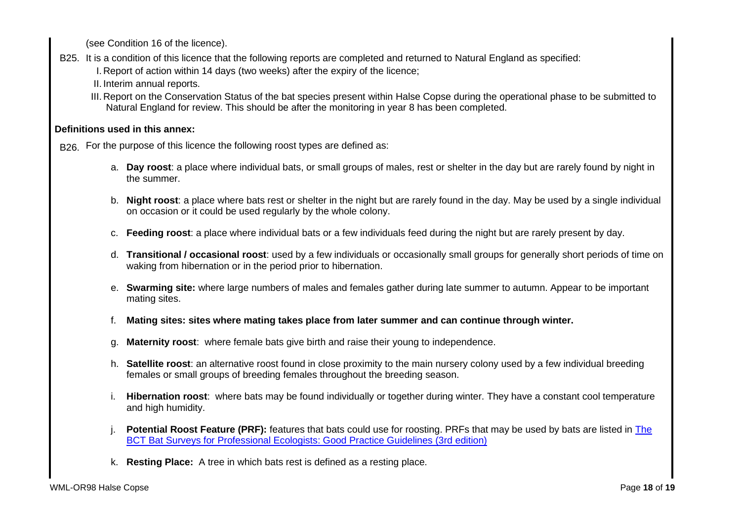(see Condition 16 of the licence).

- B25. It is a condition of this licence that the following reports are completed and returned to Natural England as specified: I. Report of action within 14 days (two weeks) after the expiry of the licence;
	- II. Interim annual reports.
	- III. Report on the Conservation Status of the bat species present within Halse Copse during the operational phase to be submitted to Natural England for review. This should be after the monitoring in year 8 has been completed.

# **Definitions used in this annex:**

B<sub>26.</sub> For the purpose of this licence the following roost types are defined as:

- a. **Day roost**: a place where individual bats, or small groups of males, rest or shelter in the day but are rarely found by night in the summer.
- b. **Night roost**: a place where bats rest or shelter in the night but are rarely found in the day. May be used by a single individual on occasion or it could be used regularly by the whole colony.
- c. **Feeding roost**: a place where individual bats or a few individuals feed during the night but are rarely present by day.
- d. **Transitional / occasional roost**: used by a few individuals or occasionally small groups for generally short periods of time on waking from hibernation or in the period prior to hibernation.
- e. **Swarming site:** where large numbers of males and females gather during late summer to autumn. Appear to be important mating sites.
- f. **Mating sites: sites where mating takes place from later summer and can continue through winter.**
- g. **Maternity roost**: where female bats give birth and raise their young to independence.
- h. **Satellite roost**: an alternative roost found in close proximity to the main nursery colony used by a few individual breeding females or small groups of breeding females throughout the breeding season.
- i. **Hibernation roost**: where bats may be found individually or together during winter. They have a constant cool temperature and high humidity.
- Potential Roost Feature (PRF): features that bats could use for roosting. PRFs that may be used by bats are listed in The BCT Bat Surveys for Professional Ecologists: Good Practice Guidelines (3rd edition)
- k. **Resting Place:** A tree in which bats rest is defined as a resting place.